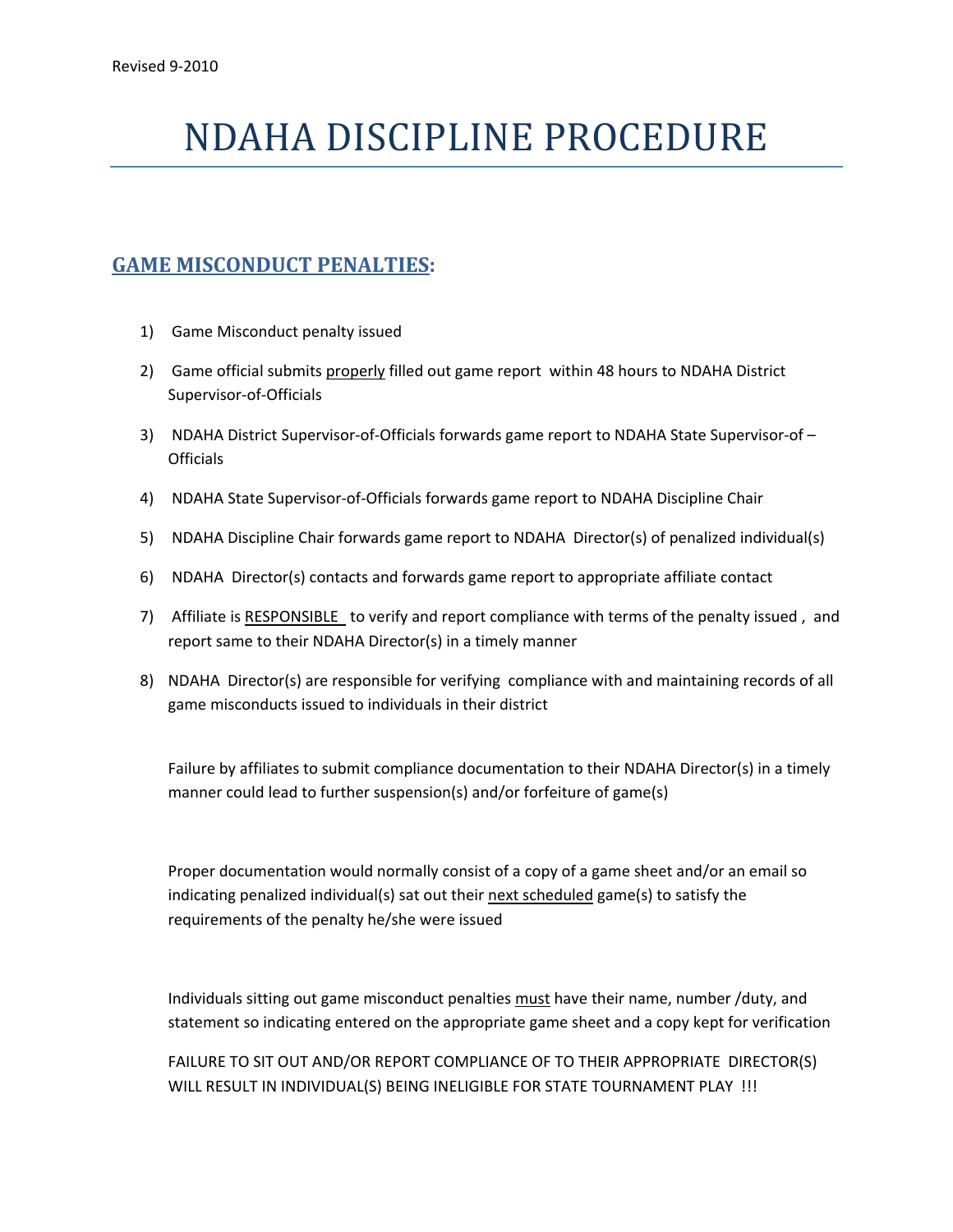## NDAHA DISCIPLINE PROCEDURE

## **GAME MISCONDUCT PENALTIES:**

- 1) Game Misconduct penalty issued
- 2) Game official submits properly filled out game report within 48 hours to NDAHA District Supervisor‐of‐Officials
- 3) NDAHA District Supervisor‐of‐Officials forwards game report to NDAHA State Supervisor‐of **Officials**
- 4) NDAHA State Supervisor‐of‐Officials forwards game report to NDAHA Discipline Chair
- 5) NDAHA Discipline Chair forwards game report to NDAHA Director(s) of penalized individual(s)
- 6) NDAHA Director(s) contacts and forwards game report to appropriate affiliate contact
- 7) Affiliate is RESPONSIBLE to verify and report compliance with terms of the penalty issued , and report same to their NDAHA Director(s) in a timely manner
- 8) NDAHA Director(s) are responsible for verifying compliance with and maintaining records of all game misconducts issued to individuals in their district

Failure by affiliates to submit compliance documentation to their NDAHA Director(s) in a timely manner could lead to further suspension(s) and/or forfeiture of game(s)

Proper documentation would normally consist of a copy of a game sheet and/or an email so indicating penalized individual(s) sat out their next scheduled game(s) to satisfy the requirements of the penalty he/she were issued

Individuals sitting out game misconduct penalties must have their name, number /duty, and statement so indicating entered on the appropriate game sheet and a copy kept for verification

FAILURE TO SIT OUT AND/OR REPORT COMPLIANCE OF TO THEIR APPROPRIATE DIRECTOR(S) WILL RESULT IN INDIVIDUAL(S) BEING INELIGIBLE FOR STATE TOURNAMENT PLAY !!!